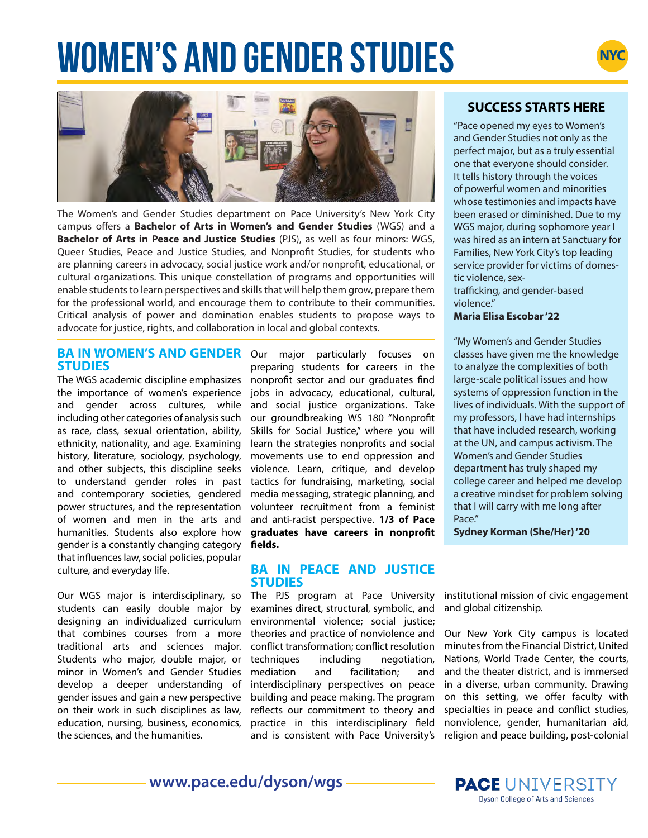# **WOMEN'S AND GENDER STUDIES**





The Women's and Gender Studies department on Pace University's New York City campus offers a **Bachelor of Arts in Women's and Gender Studies** (WGS) and a **Bachelor of Arts in Peace and Justice Studies** (PJS), as well as four minors: WGS, Queer Studies, Peace and Justice Studies, and Nonprofit Studies, for students who are planning careers in advocacy, social justice work and/or nonprofit, educational, or cultural organizations. This unique constellation of programs and opportunities will enable students to learn perspectives and skills that will help them grow, prepare them for the professional world, and encourage them to contribute to their communities. Critical analysis of power and domination enables students to propose ways to advocate for justice, rights, and collaboration in local and global contexts.

#### **BA IN WOMEN'S AND GENDER** Our major particularly focuses on **STUDIES**

The WGS academic discipline emphasizes the importance of women's experience and gender across cultures, while including other categories of analysis such as race, class, sexual orientation, ability, ethnicity, nationality, and age. Examining history, literature, sociology, psychology, and other subjects, this discipline seeks to understand gender roles in past and contemporary societies, gendered power structures, and the representation of women and men in the arts and humanities. Students also explore how gender is a constantly changing category that influences law, social policies, popular culture, and everyday life.

Our WGS major is interdisciplinary, so students can easily double major by designing an individualized curriculum that combines courses from a more traditional arts and sciences major. Students who major, double major, or minor in Women's and Gender Studies develop a deeper understanding of gender issues and gain a new perspective on their work in such disciplines as law, education, nursing, business, economics, the sciences, and the humanities.

preparing students for careers in the nonprofit sector and our graduates find jobs in advocacy, educational, cultural, and social justice organizations. Take our groundbreaking WS 180 "Nonprofit Skills for Social Justice," where you will learn the strategies nonprofits and social movements use to end oppression and violence. Learn, critique, and develop tactics for fundraising, marketing, social media messaging, strategic planning, and volunteer recruitment from a feminist and anti-racist perspective. **1/3 of Pace graduates have careers in nonprofit fields.**

#### **BA IN PEACE AND JUSTICE STUDIES**

The PJS program at Pace University examines direct, structural, symbolic, and environmental violence; social justice; theories and practice of nonviolence and conflict transformation; conflict resolution techniques including negotiation, mediation and facilitation; and interdisciplinary perspectives on peace building and peace making. The program reflects our commitment to theory and practice in this interdisciplinary field and is consistent with Pace University's

# **SUCCESS STARTS HERE**

"Pace opened my eyes to Women's and Gender Studies not only as the perfect major, but as a truly essential one that everyone should consider. It tells history through the voices of powerful women and minorities whose testimonies and impacts have been erased or diminished. Due to my WGS major, during sophomore year I was hired as an intern at Sanctuary for Families, New York City's top leading service provider for victims of domestic violence, sex-

trafficking, and gender-based violence."

#### **Maria Elisa Escobar '22**

"My Women's and Gender Studies classes have given me the knowledge to analyze the complexities of both large-scale political issues and how systems of oppression function in the lives of individuals. With the support of my professors, I have had internships that have included research, working at the UN, and campus activism. The Women's and Gender Studies department has truly shaped my college career and helped me develop a creative mindset for problem solving that I will carry with me long after Pace."

**Sydney Korman (She/Her) '20**

institutional mission of civic engagement and global citizenship.

Our New York City campus is located minutes from the Financial District, United Nations, World Trade Center, the courts, and the theater district, and is immersed in a diverse, urban community. Drawing on this setting, we offer faculty with specialties in peace and conflict studies, nonviolence, gender, humanitarian aid, religion and peace building, post-colonial



**www.pace.edu/dyson/wgs**